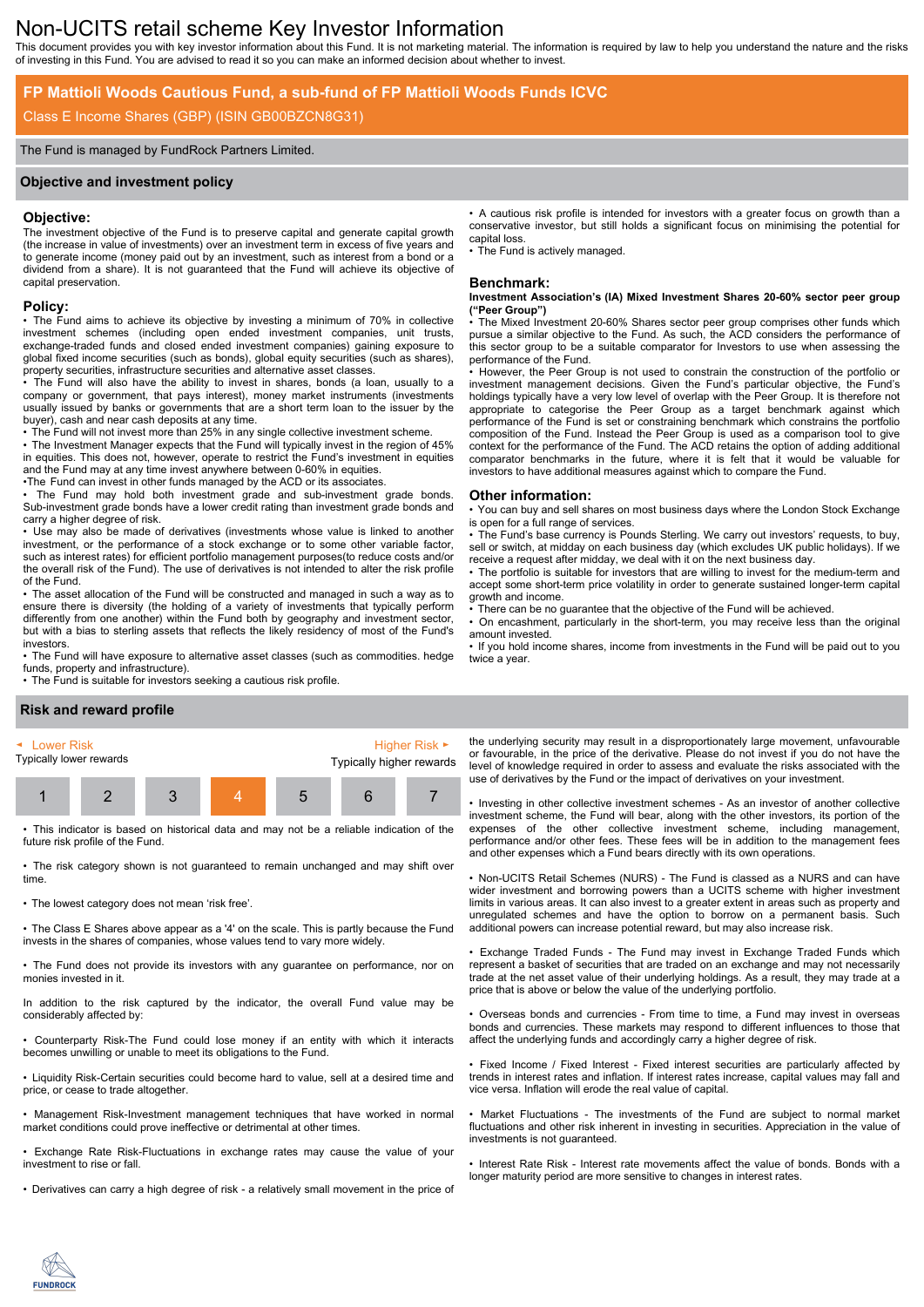# Non-UCITS retail scheme Key Investor Information

This document provides you with key investor information about this Fund. It is not marketing material. The information is required by law to help you understand the nature and the risks of investing in this Fund. You are advised to read it so you can make an informed decision about whether to invest.

## **FP Mattioli Woods Cautious Fund, a sub-fund of FP Mattioli Woods Funds ICVC**

## Class E Income Shares (GBP) (ISIN GB00BZCN8G31)

#### The Fund is managed by FundRock Partners Limited.

#### **Objective and investment policy**

#### **Objective:**

The investment objective of the Fund is to preserve capital and generate capital growth (the increase in value of investments) over an investment term in excess of five years and to generate income (money paid out by an investment, such as interest from a bond or a dividend from a share). It is not guaranteed that the Fund will achieve its objective of capital preservation.

#### **Policy:**

• The Fund aims to achieve its objective by investing a minimum of 70% in collective investment schemes (including open ended investment companies, unit trusts, exchange-traded funds and closed ended investment companies) gaining exposure to global fixed income securities (such as bonds), global equity securities (such as shares), property securities, infrastructure securities and alternative asset classes.

• The Fund will also have the ability to invest in shares, bonds (a loan, usually to a company or government, that pays interest), money market instruments (investments usually issued by banks or governments that are a short term loan to the issuer by the buyer), cash and near cash deposits at any time.

• The Fund will not invest more than 25% in any single collective investment scheme. • The Investment Manager expects that the Fund will typically invest in the region of 45% in equities. This does not, however, operate to restrict the Fund's investment in equities and the Fund may at any time invest anywhere between 0-60% in equities.

•The Fund can invest in other funds managed by the ACD or its associates.

• The Fund may hold both investment grade and sub-investment grade bonds. Sub-investment grade bonds have a lower credit rating than investment grade bonds and carry a higher degree of risk.

• Use may also be made of derivatives (investments whose value is linked to another investment, or the performance of a stock exchange or to some other variable factor, such as interest rates) for efficient portfolio management purposes(to reduce costs and/or the overall risk of the Fund). The use of derivatives is not intended to alter the risk profile of the Fund.

• The asset allocation of the Fund will be constructed and managed in such a way as to ensure there is diversity (the holding of a variety of investments that typically perform differently from one another) within the Fund both by geography and investment sector, but with a bias to sterling assets that reflects the likely residency of most of the Fund's investors.

• The Fund will have exposure to alternative asset classes (such as commodities. hedge funds, property and infrastructure).

• The Fund is suitable for investors seeking a cautious risk profile.

#### • A cautious risk profile is intended for investors with a greater focus on growth than a conservative investor, but still holds a significant focus on minimising the potential for capital loss.

The Fund is actively managed.

#### **Benchmark:**

**Investment Association's (IA) Mixed Investment Shares 20-60% sector peer group ("Peer Group")**

The Mixed Investment 20-60% Shares sector peer group comprises other funds which pursue a similar objective to the Fund. As such, the ACD considers the performance of this sector group to be a suitable comparator for Investors to use when assessing the performance of the Fund.

• However, the Peer Group is not used to constrain the construction of the portfolio or investment management decisions. Given the Fund's particular objective, the Fund's holdings typically have a very low level of overlap with the Peer Group. It is therefore not appropriate to categorise the Peer Group as a target benchmark against which performance of the Fund is set or constraining benchmark which constrains the portfolio composition of the Fund. Instead the Peer Group is used as a comparison tool to give context for the performance of the Fund. The ACD retains the option of adding additional comparator benchmarks in the future, where it is felt that it would be valuable for investors to have additional measures against which to compare the Fund.

#### **Other information:**

• You can buy and sell shares on most business days where the London Stock Exchange is open for a full range of services.

• The Fund's base currency is Pounds Sterling. We carry out investors' requests, to buy, sell or switch, at midday on each business day (which excludes UK public holidays). If we receive a request after midday, we deal with it on the next business day.

• The portfolio is suitable for investors that are willing to invest for the medium-term and accept some short-term price volatility in order to generate sustained longer-term capital growth and income.

There can be no guarantee that the objective of the Fund will be achieved.

• On encashment, particularly in the short-term, you may receive less than the original amount invested.

• If you hold income shares, income from investments in the Fund will be paid out to you twice a year.

## **Risk and reward profile**



• This indicator is based on historical data and may not be a reliable indication of the future risk profile of the Fund.

• The risk category shown is not guaranteed to remain unchanged and may shift over time.

• The lowest category does not mean 'risk free'.

• The Class E Shares above appear as a '4' on the scale. This is partly because the Fund invests in the shares of companies, whose values tend to vary more widely.

• The Fund does not provide its investors with any guarantee on performance, nor on monies invested in it.

In addition to the risk captured by the indicator, the overall Fund value may be considerably affected by:

• Counterparty Risk-The Fund could lose money if an entity with which it interacts becomes unwilling or unable to meet its obligations to the Fund.

• Liquidity Risk-Certain securities could become hard to value, sell at a desired time and price, or cease to trade altogether.

• Management Risk-Investment management techniques that have worked in normal market conditions could prove ineffective or detrimental at other times.

• Exchange Rate Risk-Fluctuations in exchange rates may cause the value of your investment to rise or fall.

• Derivatives can carry a high degree of risk - a relatively small movement in the price of

the underlying security may result in a disproportionately large movement, unfavourable or favourable, in the price of the derivative. Please do not invest if you do not have the level of knowledge required in order to assess and evaluate the risks associated with the use of derivatives by the Fund or the impact of derivatives on your investment.

• Investing in other collective investment schemes - As an investor of another collective investment scheme, the Fund will bear, along with the other investors, its portion of the expenses of the other collective investment scheme, including management, performance and/or other fees. These fees will be in addition to the management fees and other expenses which a Fund bears directly with its own operations.

• Non-UCITS Retail Schemes (NURS) - The Fund is classed as a NURS and can have wider investment and borrowing powers than a UCITS scheme with higher investment limits in various areas. It can also invest to a greater extent in areas such as property and unregulated schemes and have the option to borrow on a permanent basis. Such additional powers can increase potential reward, but may also increase risk.

• Exchange Traded Funds - The Fund may invest in Exchange Traded Funds which represent a basket of securities that are traded on an exchange and may not necessarily trade at the net asset value of their underlying holdings. As a result, they may trade at a price that is above or below the value of the underlying portfolio.

• Overseas bonds and currencies - From time to time, a Fund may invest in overseas bonds and currencies. These markets may respond to different influences to those that affect the underlying funds and accordingly carry a higher degree of risk.

• Fixed Income / Fixed Interest - Fixed interest securities are particularly affected by trends in interest rates and inflation. If interest rates increase, capital values may fall and vice versa. Inflation will erode the real value of capital.

• Market Fluctuations - The investments of the Fund are subject to normal market fluctuations and other risk inherent in investing in securities. Appreciation in the value of investments is not guaranteed.

• Interest Rate Risk - Interest rate movements affect the value of bonds. Bonds with a longer maturity period are more sensitive to changes in interest rates.